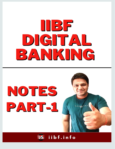

# NOTES PART-1



iibf.info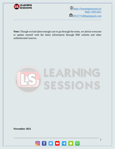

 $\bigoplus_{\text{https://learning sessions.in/}}$ <https://iibf.info/> **2**[9915771469aj@gmail.com](mailto:9915771469aj@gmail.com)

**Note:** Though we had taken enough care to go through the notes, we advise everyone to update oneself with the latest information through RBI website and other authenticated sources**.**

# SESSIONS

**November 2021**

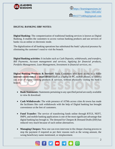

<https://learningsessions.in/> <https://iibf.info/> **2**[9915771469aj@gmail.com](mailto:9915771469aj@gmail.com)

### **DIGITAL BANKING IIBF NOTES:**

**Digital Banking:** The computerization of traditional banking services is known as Digital Banking. It enables the customers to access various banking products and use services of banks via an online or electronic mode.

The digitalization of all banking operations has substituted the bank's physical presence by eliminating the customer's need to visit the branch.

**Digital Banking activities:** It includes such as *Cash Deposits, withdrawals, and transfers, Bill Payments, Account management and services, Applying for financial products, Portfolio Management, Loan Management, Investment in financial services, etc*.

**Digital Banking Products & Services:** Bank Customers who have access to a stable **internet connection**  $\&$  **a smart device** (such as a laptop or PC, mobile phones, or tablets) can avail of digital banking products & services, without physically visiting the bank's branch.

- **Bank Statements:** Statements pertaining to any specified period are easily available to view & download.
- **Cash Withdrawals:** The wide presence of ATMs across cities & towns has made the facilitates like cash withdrawals with the help of Digital banking has brought convenience at the feet of customers.
- **Fund Transfer:** The service of transferring funds online through RTGS, NEFT, IMPS, and mobile banking applications is one of the most significant advantage that digital banking has brough in. The demand for Cheques & Demand Drafts (DD) has reduced very much because of such online alternatives.
- **Managing Cheques:** Now one can even intervene in the cheque clearing process to stop the payment if required as per their reasons such as the wrong amount, the wrong beneficiary name mentioned, or misplacement.

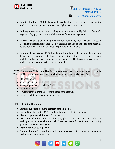

<https://learningsessions.in/> <https://iibf.info/> **2**[9915771469aj@gmail.com](mailto:9915771469aj@gmail.com)

- 
- **Mobile Banking:** Mobile banking basically shows the use of an application optimized for smartphones or tablets for digital banking services.
- **Bill Payments:** One can give standing instructions for monthly debits in favor of a regular utility payment via auto-debit feature for regular payments.
- **Finance:** With Digital Banking one can now open FDs, apply for loans, invest in MF and buy insurance products. Demat accounts can also be linked to bank accounts to provide a uniform flow of funds for profitable investments.
- **Monitor Transactions:** Digital banking allows the user to monitor their account balances with just one click. Banks also send transaction alerts to the registered mobile number or email addresses of the customers. The banking transactions get updated almost as soon as they are performed.

**ATM: Automated Teller Machine** is most commonly used among customers in India. Today, ATMs are not restricted to cash withdrawal but they are also used for:

- Balance Inquiry
- Cash & Cheque deposits
- Changing the Debit/Credit card PIN
- Bank Statements
- Transfer amount from 1 account to other bank accounts
- Making Debit/Credit card payments, etc.

### **NEED of Digital Banking:**

- Banking functions from the **comfort of their homes**.
- Around the clock with  $(24\times7)$  availability of access to its functions.
- **Reduced paperwork** for banks' employees.
- **All kinds of** utility **bills**, including gas, phone, electricity, or other bills, and recharges can be **done with one click**. One can even opt for reminders on upcoming payments and outstanding dues.
- **Auto-debit** facility to pay bills.
- **Online shopping is simplified** with its help as payment gateways are integrated with online shopping portals.

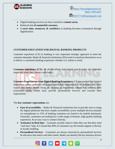

<https://learningsessions.in/> <https://iibf.info/>

**2**[9915771469aj@gmail.com](mailto:9915771469aj@gmail.com)

- Digital banking services are have reached in **remote areas**.
- Reduced risk **of counterfeit currency**.
- It **saves time, resources, & workforce** as banking becomes economical through digitalization.

### **CUSTOMER EDUCATION FOR DIGITAL BANKING PRODUCTS**

Customer experience (CX) in banking is very important strategic approach to meet the customer demands. Banks & financial institutions (FIs) need to transform themselves so as to deliver a consistent banking experience whether it is online or retail.

**Customer experience (CX):** Its all the efforts that a bank puts to make its client feel important when they interact with bank.

**Customer Expectations from Digital Banking Experience:** CX has reached that level of importance where customers no longer expect their experiences to be industry-silo. They expect that banks should focus on creating an experience culture that nurtures their (customer) needs, builds trust, provide personalized services and exceeds their expectations.

The **key customer expectations** are:

- **Ease of accessibility** Banks & Financial institutions has to provide ease in using the digital platforms that have simple accessibility across multiple devices (mainly via smartphones as 15% of banking customers are found to be mobile dominant). Generally, customers are looking for a wide range of features, high quality banking experience, & an easy way to connect directly.
- **Assistance in Real time** Customer actually mean it when they say that they need "real time" help. It is found that 49% of customers say the instant support is the key in loyalty building.
- **Personalized Services** Customers are always attracted by personalized services & relevance that match with their needs. Banks can identify the key business drivers

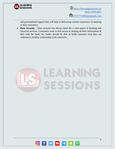

 $\bigoplus_{\text{https://learning sessions.in/}}$ <https://iibf.info/> **2**[9915771469aj@gmail.com](mailto:9915771469aj@gmail.com)

and personalized support that will help in delivering a better experience in banking to their customers.

• **Data Security** – Data security has always been the a vital aspect in banking and financial services. Customers want to feel secure in sharing all their information & data with the bank. So, banks should be able to build customer trust that can withstand a healthy relationship with customers.



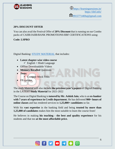

<https://learningsessions.in/> <https://iibf.info/>

**2**[9915771469aj@gmail.com](mailto:9915771469aj@gmail.com)

### **20% DISCOUNT OFFER**

You can also avail the Festival Offer of **20% Discount** that is running on our Combo packs of CAIIB/JAIIB/BANK PROMOTIONS/IIBF CERTIFICATIONS using:

## **Code: LSPRO**

Digital Banking: [STUDY MATERIAL](http://certifications.learningsessions.in/controlpanel/iibfpro) that includes:

- **Latest chapter-wise video course**  $\checkmark$  English + Hindi Language
- Offline Downloadable Videos
- **Memory Recalled** Questions
- **Tests:** 
	- ✓ Compete Mock Tests
- FB updates

The study Material will also include **the previous year's papers** of Digital Banking in the LATEST **Study Material** for 2021-2022

The Course on Digital Banking is **tutored by Mr. Ashish Jain**, who is an **ex-banker with 7 years of experience in Credit department.** He has delivered **900+ hours of online classes** and has rendered services to **1,25,000+ candidates** so far.

With his **vast expertise** in the banking field and being **trusted by more than 1,25,000 of candidates** makes him the most suitable to learn the course from!

He believes in making **his teaching - the best and quality experience** for his students and that too **at the most affordable price.**